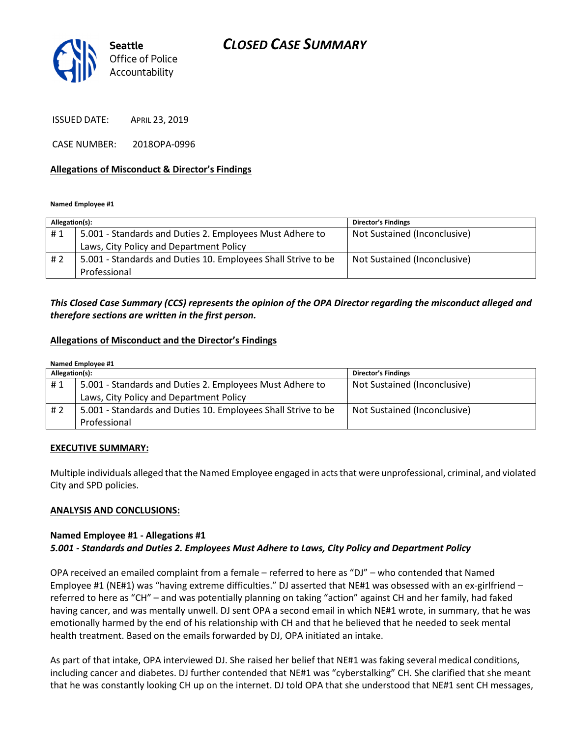

ISSUED DATE: APRIL 23, 2019

CASE NUMBER: 2018OPA-0996

### Allegations of Misconduct & Director's Findings

Named Employee #1

| Allegation(s): |                                                               | <b>Director's Findings</b>   |
|----------------|---------------------------------------------------------------|------------------------------|
| #1             | 5.001 - Standards and Duties 2. Employees Must Adhere to      | Not Sustained (Inconclusive) |
|                | Laws, City Policy and Department Policy                       |                              |
| # 2            | 5.001 - Standards and Duties 10. Employees Shall Strive to be | Not Sustained (Inconclusive) |
|                | Professional                                                  |                              |
|                |                                                               |                              |

## This Closed Case Summary (CCS) represents the opinion of the OPA Director regarding the misconduct alleged and therefore sections are written in the first person.

#### Allegations of Misconduct and the Director's Findings

| Named Employee #1 |                                                               |                              |  |
|-------------------|---------------------------------------------------------------|------------------------------|--|
| Allegation(s):    |                                                               | <b>Director's Findings</b>   |  |
| #1                | 5.001 - Standards and Duties 2. Employees Must Adhere to      | Not Sustained (Inconclusive) |  |
|                   | Laws, City Policy and Department Policy                       |                              |  |
| # 2               | 5.001 - Standards and Duties 10. Employees Shall Strive to be | Not Sustained (Inconclusive) |  |
|                   | Professional                                                  |                              |  |

#### EXECUTIVE SUMMARY:

Multiple individuals alleged that the Named Employee engaged in acts that were unprofessional, criminal, and violated City and SPD policies.

### ANALYSIS AND CONCLUSIONS:

### Named Employee #1 - Allegations #1 5.001 - Standards and Duties 2. Employees Must Adhere to Laws, City Policy and Department Policy

OPA received an emailed complaint from a female – referred to here as "DJ" – who contended that Named Employee #1 (NE#1) was "having extreme difficulties." DJ asserted that NE#1 was obsessed with an ex-girlfriend – referred to here as "CH" – and was potentially planning on taking "action" against CH and her family, had faked having cancer, and was mentally unwell. DJ sent OPA a second email in which NE#1 wrote, in summary, that he was emotionally harmed by the end of his relationship with CH and that he believed that he needed to seek mental health treatment. Based on the emails forwarded by DJ, OPA initiated an intake.

As part of that intake, OPA interviewed DJ. She raised her belief that NE#1 was faking several medical conditions, including cancer and diabetes. DJ further contended that NE#1 was "cyberstalking" CH. She clarified that she meant that he was constantly looking CH up on the internet. DJ told OPA that she understood that NE#1 sent CH messages,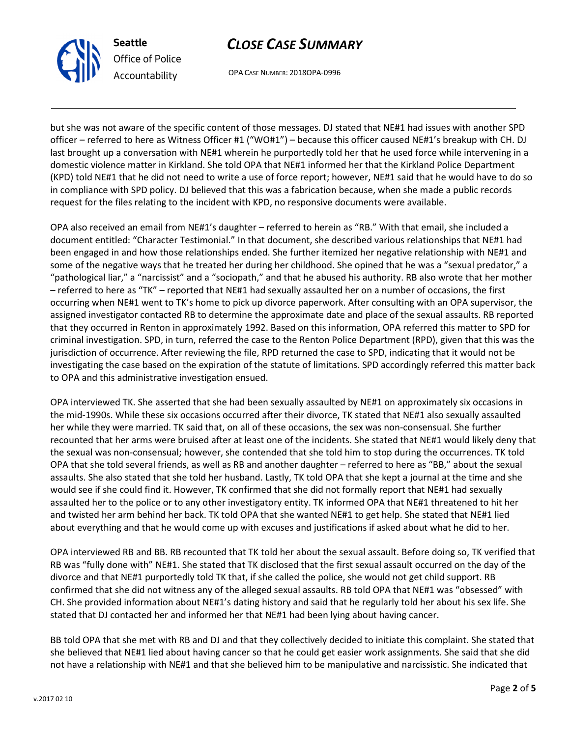

Seattle Office of Police Accountability

## CLOSE CASE SUMMARY

OPA CASE NUMBER: 2018OPA-0996

but she was not aware of the specific content of those messages. DJ stated that NE#1 had issues with another SPD officer – referred to here as Witness Officer #1 ("WO#1") – because this officer caused NE#1's breakup with CH. DJ last brought up a conversation with NE#1 wherein he purportedly told her that he used force while intervening in a domestic violence matter in Kirkland. She told OPA that NE#1 informed her that the Kirkland Police Department (KPD) told NE#1 that he did not need to write a use of force report; however, NE#1 said that he would have to do so in compliance with SPD policy. DJ believed that this was a fabrication because, when she made a public records request for the files relating to the incident with KPD, no responsive documents were available.

OPA also received an email from NE#1's daughter – referred to herein as "RB." With that email, she included a document entitled: "Character Testimonial." In that document, she described various relationships that NE#1 had been engaged in and how those relationships ended. She further itemized her negative relationship with NE#1 and some of the negative ways that he treated her during her childhood. She opined that he was a "sexual predator," a "pathological liar," a "narcissist" and a "sociopath," and that he abused his authority. RB also wrote that her mother – referred to here as "TK" – reported that NE#1 had sexually assaulted her on a number of occasions, the first occurring when NE#1 went to TK's home to pick up divorce paperwork. After consulting with an OPA supervisor, the assigned investigator contacted RB to determine the approximate date and place of the sexual assaults. RB reported that they occurred in Renton in approximately 1992. Based on this information, OPA referred this matter to SPD for criminal investigation. SPD, in turn, referred the case to the Renton Police Department (RPD), given that this was the jurisdiction of occurrence. After reviewing the file, RPD returned the case to SPD, indicating that it would not be investigating the case based on the expiration of the statute of limitations. SPD accordingly referred this matter back to OPA and this administrative investigation ensued.

OPA interviewed TK. She asserted that she had been sexually assaulted by NE#1 on approximately six occasions in the mid-1990s. While these six occasions occurred after their divorce, TK stated that NE#1 also sexually assaulted her while they were married. TK said that, on all of these occasions, the sex was non-consensual. She further recounted that her arms were bruised after at least one of the incidents. She stated that NE#1 would likely deny that the sexual was non-consensual; however, she contended that she told him to stop during the occurrences. TK told OPA that she told several friends, as well as RB and another daughter – referred to here as "BB," about the sexual assaults. She also stated that she told her husband. Lastly, TK told OPA that she kept a journal at the time and she would see if she could find it. However, TK confirmed that she did not formally report that NE#1 had sexually assaulted her to the police or to any other investigatory entity. TK informed OPA that NE#1 threatened to hit her and twisted her arm behind her back. TK told OPA that she wanted NE#1 to get help. She stated that NE#1 lied about everything and that he would come up with excuses and justifications if asked about what he did to her.

OPA interviewed RB and BB. RB recounted that TK told her about the sexual assault. Before doing so, TK verified that RB was "fully done with" NE#1. She stated that TK disclosed that the first sexual assault occurred on the day of the divorce and that NE#1 purportedly told TK that, if she called the police, she would not get child support. RB confirmed that she did not witness any of the alleged sexual assaults. RB told OPA that NE#1 was "obsessed" with CH. She provided information about NE#1's dating history and said that he regularly told her about his sex life. She stated that DJ contacted her and informed her that NE#1 had been lying about having cancer.

BB told OPA that she met with RB and DJ and that they collectively decided to initiate this complaint. She stated that she believed that NE#1 lied about having cancer so that he could get easier work assignments. She said that she did not have a relationship with NE#1 and that she believed him to be manipulative and narcissistic. She indicated that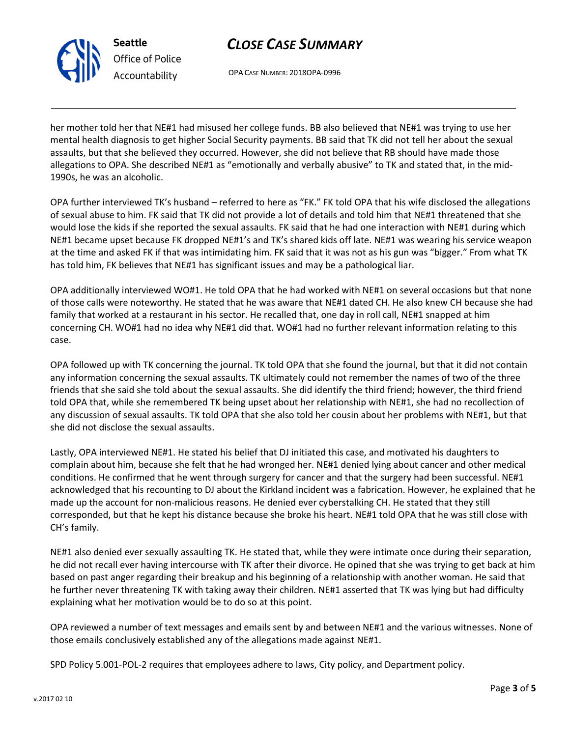

Seattle Office of Police Accountability

## CLOSE CASE SUMMARY

OPA CASE NUMBER: 2018OPA-0996

her mother told her that NE#1 had misused her college funds. BB also believed that NE#1 was trying to use her mental health diagnosis to get higher Social Security payments. BB said that TK did not tell her about the sexual assaults, but that she believed they occurred. However, she did not believe that RB should have made those allegations to OPA. She described NE#1 as "emotionally and verbally abusive" to TK and stated that, in the mid-1990s, he was an alcoholic.

OPA further interviewed TK's husband – referred to here as "FK." FK told OPA that his wife disclosed the allegations of sexual abuse to him. FK said that TK did not provide a lot of details and told him that NE#1 threatened that she would lose the kids if she reported the sexual assaults. FK said that he had one interaction with NE#1 during which NE#1 became upset because FK dropped NE#1's and TK's shared kids off late. NE#1 was wearing his service weapon at the time and asked FK if that was intimidating him. FK said that it was not as his gun was "bigger." From what TK has told him, FK believes that NE#1 has significant issues and may be a pathological liar.

OPA additionally interviewed WO#1. He told OPA that he had worked with NE#1 on several occasions but that none of those calls were noteworthy. He stated that he was aware that NE#1 dated CH. He also knew CH because she had family that worked at a restaurant in his sector. He recalled that, one day in roll call, NE#1 snapped at him concerning CH. WO#1 had no idea why NE#1 did that. WO#1 had no further relevant information relating to this case.

OPA followed up with TK concerning the journal. TK told OPA that she found the journal, but that it did not contain any information concerning the sexual assaults. TK ultimately could not remember the names of two of the three friends that she said she told about the sexual assaults. She did identify the third friend; however, the third friend told OPA that, while she remembered TK being upset about her relationship with NE#1, she had no recollection of any discussion of sexual assaults. TK told OPA that she also told her cousin about her problems with NE#1, but that she did not disclose the sexual assaults.

Lastly, OPA interviewed NE#1. He stated his belief that DJ initiated this case, and motivated his daughters to complain about him, because she felt that he had wronged her. NE#1 denied lying about cancer and other medical conditions. He confirmed that he went through surgery for cancer and that the surgery had been successful. NE#1 acknowledged that his recounting to DJ about the Kirkland incident was a fabrication. However, he explained that he made up the account for non-malicious reasons. He denied ever cyberstalking CH. He stated that they still corresponded, but that he kept his distance because she broke his heart. NE#1 told OPA that he was still close with CH's family.

NE#1 also denied ever sexually assaulting TK. He stated that, while they were intimate once during their separation, he did not recall ever having intercourse with TK after their divorce. He opined that she was trying to get back at him based on past anger regarding their breakup and his beginning of a relationship with another woman. He said that he further never threatening TK with taking away their children. NE#1 asserted that TK was lying but had difficulty explaining what her motivation would be to do so at this point.

OPA reviewed a number of text messages and emails sent by and between NE#1 and the various witnesses. None of those emails conclusively established any of the allegations made against NE#1.

SPD Policy 5.001-POL-2 requires that employees adhere to laws, City policy, and Department policy.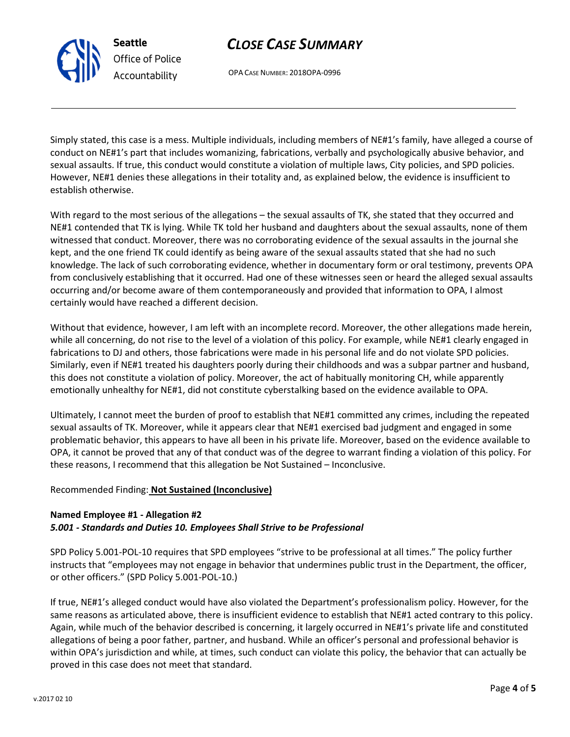## CLOSE CASE SUMMARY

OPA CASE NUMBER: 2018OPA-0996

Simply stated, this case is a mess. Multiple individuals, including members of NE#1's family, have alleged a course of conduct on NE#1's part that includes womanizing, fabrications, verbally and psychologically abusive behavior, and sexual assaults. If true, this conduct would constitute a violation of multiple laws, City policies, and SPD policies. However, NE#1 denies these allegations in their totality and, as explained below, the evidence is insufficient to establish otherwise.

With regard to the most serious of the allegations – the sexual assaults of TK, she stated that they occurred and NE#1 contended that TK is lying. While TK told her husband and daughters about the sexual assaults, none of them witnessed that conduct. Moreover, there was no corroborating evidence of the sexual assaults in the journal she kept, and the one friend TK could identify as being aware of the sexual assaults stated that she had no such knowledge. The lack of such corroborating evidence, whether in documentary form or oral testimony, prevents OPA from conclusively establishing that it occurred. Had one of these witnesses seen or heard the alleged sexual assaults occurring and/or become aware of them contemporaneously and provided that information to OPA, I almost certainly would have reached a different decision.

Without that evidence, however, I am left with an incomplete record. Moreover, the other allegations made herein, while all concerning, do not rise to the level of a violation of this policy. For example, while NE#1 clearly engaged in fabrications to DJ and others, those fabrications were made in his personal life and do not violate SPD policies. Similarly, even if NE#1 treated his daughters poorly during their childhoods and was a subpar partner and husband, this does not constitute a violation of policy. Moreover, the act of habitually monitoring CH, while apparently emotionally unhealthy for NE#1, did not constitute cyberstalking based on the evidence available to OPA.

Ultimately, I cannot meet the burden of proof to establish that NE#1 committed any crimes, including the repeated sexual assaults of TK. Moreover, while it appears clear that NE#1 exercised bad judgment and engaged in some problematic behavior, this appears to have all been in his private life. Moreover, based on the evidence available to OPA, it cannot be proved that any of that conduct was of the degree to warrant finding a violation of this policy. For these reasons, I recommend that this allegation be Not Sustained – Inconclusive.

## Recommended Finding: Not Sustained (Inconclusive)

### Named Employee #1 - Allegation #2 5.001 - Standards and Duties 10. Employees Shall Strive to be Professional

SPD Policy 5.001-POL-10 requires that SPD employees "strive to be professional at all times." The policy further instructs that "employees may not engage in behavior that undermines public trust in the Department, the officer, or other officers." (SPD Policy 5.001-POL-10.)

If true, NE#1's alleged conduct would have also violated the Department's professionalism policy. However, for the same reasons as articulated above, there is insufficient evidence to establish that NE#1 acted contrary to this policy. Again, while much of the behavior described is concerning, it largely occurred in NE#1's private life and constituted allegations of being a poor father, partner, and husband. While an officer's personal and professional behavior is within OPA's jurisdiction and while, at times, such conduct can violate this policy, the behavior that can actually be proved in this case does not meet that standard.



Seattle Office of Police Accountability